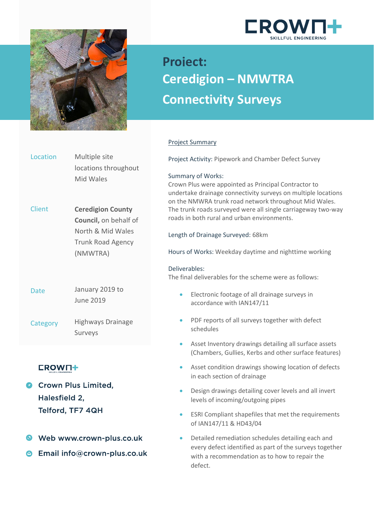



Location

# **Project: Ceredigion – NMWTRA Connectivity Surveys**

# Project Summary

Client Date **Category** Multiple site locations throughout Mid Wales **Ceredigion County Council,** on behalf of North & Mid Wales Trunk Road Agency (NMWTRA) June 2019 Highways Drainage January 2019 to Surveys Project Activity: Pipework and Chamber Defect Survey Summary of Works: Crown Plus were appointed as Principal Contractor to undertake drainage connectivity surveys on multiple locations on the NMWRA trunk road network throughout Mid Wales. The trunk roads surveyed were all single carriageway two-way roads in both rural and urban environments. Length of Drainage Surveyed: 68km Hours of Works: Weekday daytime and nighttime working Deliverables: The final deliverables for the scheme were as follows: • Electronic footage of all drainage surveys in accordance with IAN147/11 schedules

# **CROWN+**

- Crown Plus Limited. Halesfield 2, Telford, TF7 4QH
- Web www.crown-plus.co.uk
- **B** Email info@crown-plus.co.uk
- 
- PDF reports of all surveys together with defect
- Asset Inventory drawings detailing all surface assets (Chambers, Gullies, Kerbs and other surface features)
- Asset condition drawings showing location of defects in each section of drainage
- Design drawings detailing cover levels and all invert levels of incoming/outgoing pipes
- ESRI Compliant shapefiles that met the requirements of IAN147/11 & HD43/04
- Detailed remediation schedules detailing each and every defect identified as part of the surveys together with a recommendation as to how to repair the defect.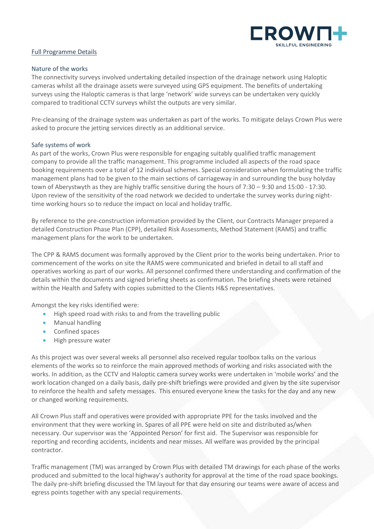

# Full Programme Details

#### Nature of the works

The connectivity surveys involved undertaking detailed inspection of the drainage network using Haloptic cameras whilst all the drainage assets were surveyed using GPS equipment. The benefits of undertaking surveys using the Haloptic cameras is that large 'network' wide surveys can be undertaken very quickly compared to traditional CCTV surveys whilst the outputs are very similar.

Pre-cleansing of the drainage system was undertaken as part of the works. To mitigate delays Crown Plus were asked to procure the jetting services directly as an additional service.

#### Safe systems of work

As part of the works, Crown Plus were responsible for engaging suitably qualified traffic management company to provide all the traffic management. This programme included all aspects of the road space booking requirements over a total of 12 individual schemes. Special consideration when formulating the traffic management plans had to be given to the main sections of carriageway in and surrounding the busy holyday town of Aberystwyth as they are highly traffic sensitive during the hours of 7:30 – 9:30 and 15:00 - 17:30. Upon review of the sensitivity of the road network we decided to undertake the survey works during nighttime working hours so to reduce the impact on local and holiday traffic.

By reference to the pre-construction information provided by the Client, our Contracts Manager prepared a detailed Construction Phase Plan (CPP), detailed Risk Assessments, Method Statement (RAMS) and traffic management plans for the work to be undertaken.

The CPP & RAMS document was formally approved by the Client prior to the works being undertaken. Prior to commencement of the works on site the RAMS were communicated and briefed in detail to all staff and operatives working as part of our works. All personnel confirmed there understanding and confirmation of the details within the documents and signed briefing sheets as confirmation. The briefing sheets were retained within the Health and Safety with copies submitted to the Clients H&S representatives.

Amongst the key risks identified were:

- High speed road with risks to and from the travelling public
- Manual handling
- Confined spaces
- High pressure water

As this project was over several weeks all personnel also received regular toolbox talks on the various elements of the works so to reinforce the main approved methods of working and risks associated with the works. In addition, as the CCTV and Haloptic camera survey works were undertaken in 'mobile works' and the work location changed on a daily basis, daily pre-shift briefings were provided and given by the site supervisor to reinforce the health and safety messages. This ensured everyone knew the tasks for the day and any new or changed working requirements.

All Crown Plus staff and operatives were provided with appropriate PPE for the tasks involved and the environment that they were working in. Spares of all PPE were held on site and distributed as/when necessary. Our supervisor was the 'Appointed Person' for first aid. The Supervisor was responsible for reporting and recording accidents, incidents and near misses. All welfare was provided by the principal contractor.

Traffic management (TM) was arranged by Crown Plus with detailed TM drawings for each phase of the works produced and submitted to the local highway's authority for approval at the time of the road space bookings. The daily pre-shift briefing discussed the TM layout for that day ensuring our teams were aware of access and egress points together with any special requirements.